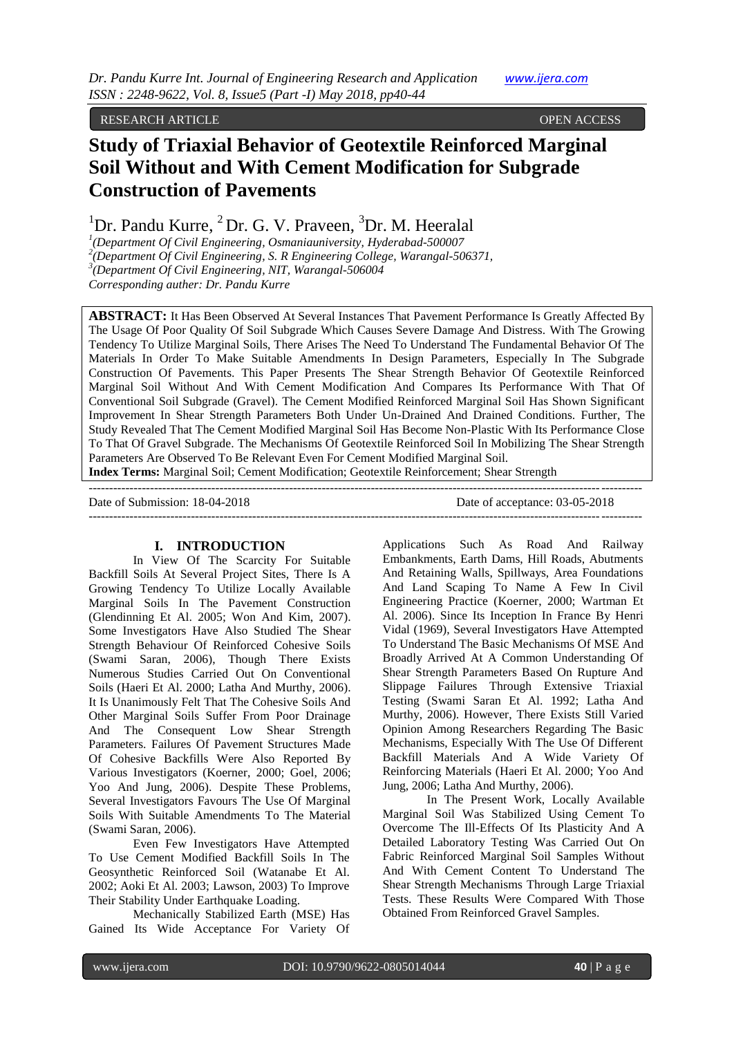## RESEARCH ARTICLE OPEN ACCESS

# **Study of Triaxial Behavior of Geotextile Reinforced Marginal Soil Without and With Cement Modification for Subgrade Construction of Pavements**

<sup>1</sup>Dr. Pandu Kurre,  ${}^{2}$ Dr. G. V. Praveen,  ${}^{3}$ Dr. M. Heeralal

*1 (Department Of Civil Engineering, Osmaniauniversity, Hyderabad-500007 2 (Department Of Civil Engineering, S. R Engineering College, Warangal-506371,*

*3 (Department Of Civil Engineering, NIT, Warangal-506004*

*Corresponding auther: Dr. Pandu Kurre*

**ABSTRACT:** It Has Been Observed At Several Instances That Pavement Performance Is Greatly Affected By The Usage Of Poor Quality Of Soil Subgrade Which Causes Severe Damage And Distress. With The Growing Tendency To Utilize Marginal Soils, There Arises The Need To Understand The Fundamental Behavior Of The Materials In Order To Make Suitable Amendments In Design Parameters, Especially In The Subgrade Construction Of Pavements. This Paper Presents The Shear Strength Behavior Of Geotextile Reinforced Marginal Soil Without And With Cement Modification And Compares Its Performance With That Of Conventional Soil Subgrade (Gravel). The Cement Modified Reinforced Marginal Soil Has Shown Significant Improvement In Shear Strength Parameters Both Under Un-Drained And Drained Conditions. Further, The Study Revealed That The Cement Modified Marginal Soil Has Become Non-Plastic With Its Performance Close To That Of Gravel Subgrade. The Mechanisms Of Geotextile Reinforced Soil In Mobilizing The Shear Strength Parameters Are Observed To Be Relevant Even For Cement Modified Marginal Soil.

---------------------------------------------------------------------------------------------------------------------------------------

**Index Terms:** Marginal Soil; Cement Modification; Geotextile Reinforcement; Shear Strength ---------------------------------------------------------------------------------------------------------------------------------------

Date of Submission: 18-04-2018 Date of acceptance: 03-05-2018

#### **I. INTRODUCTION**

In View Of The Scarcity For Suitable Backfill Soils At Several Project Sites, There Is A Growing Tendency To Utilize Locally Available Marginal Soils In The Pavement Construction (Glendinning Et Al. 2005; Won And Kim, 2007). Some Investigators Have Also Studied The Shear Strength Behaviour Of Reinforced Cohesive Soils (Swami Saran, 2006), Though There Exists Numerous Studies Carried Out On Conventional Soils (Haeri Et Al. 2000; Latha And Murthy, 2006). It Is Unanimously Felt That The Cohesive Soils And Other Marginal Soils Suffer From Poor Drainage And The Consequent Low Shear Strength Parameters. Failures Of Pavement Structures Made Of Cohesive Backfills Were Also Reported By Various Investigators (Koerner, 2000; Goel, 2006; Yoo And Jung, 2006). Despite These Problems, Several Investigators Favours The Use Of Marginal Soils With Suitable Amendments To The Material (Swami Saran, 2006).

Even Few Investigators Have Attempted To Use Cement Modified Backfill Soils In The Geosynthetic Reinforced Soil (Watanabe Et Al. 2002; Aoki Et Al. 2003; Lawson, 2003) To Improve Their Stability Under Earthquake Loading.

Mechanically Stabilized Earth (MSE) Has Gained Its Wide Acceptance For Variety Of Applications Such As Road And Railway Embankments, Earth Dams, Hill Roads, Abutments And Retaining Walls, Spillways, Area Foundations And Land Scaping To Name A Few In Civil Engineering Practice (Koerner, 2000; Wartman Et Al. 2006). Since Its Inception In France By Henri Vidal (1969), Several Investigators Have Attempted To Understand The Basic Mechanisms Of MSE And Broadly Arrived At A Common Understanding Of Shear Strength Parameters Based On Rupture And Slippage Failures Through Extensive Triaxial Testing (Swami Saran Et Al. 1992; Latha And Murthy, 2006). However, There Exists Still Varied Opinion Among Researchers Regarding The Basic Mechanisms, Especially With The Use Of Different Backfill Materials And A Wide Variety Of Reinforcing Materials (Haeri Et Al. 2000; Yoo And Jung, 2006; Latha And Murthy, 2006).

In The Present Work, Locally Available Marginal Soil Was Stabilized Using Cement To Overcome The Ill-Effects Of Its Plasticity And A Detailed Laboratory Testing Was Carried Out On Fabric Reinforced Marginal Soil Samples Without And With Cement Content To Understand The Shear Strength Mechanisms Through Large Triaxial Tests. These Results Were Compared With Those Obtained From Reinforced Gravel Samples.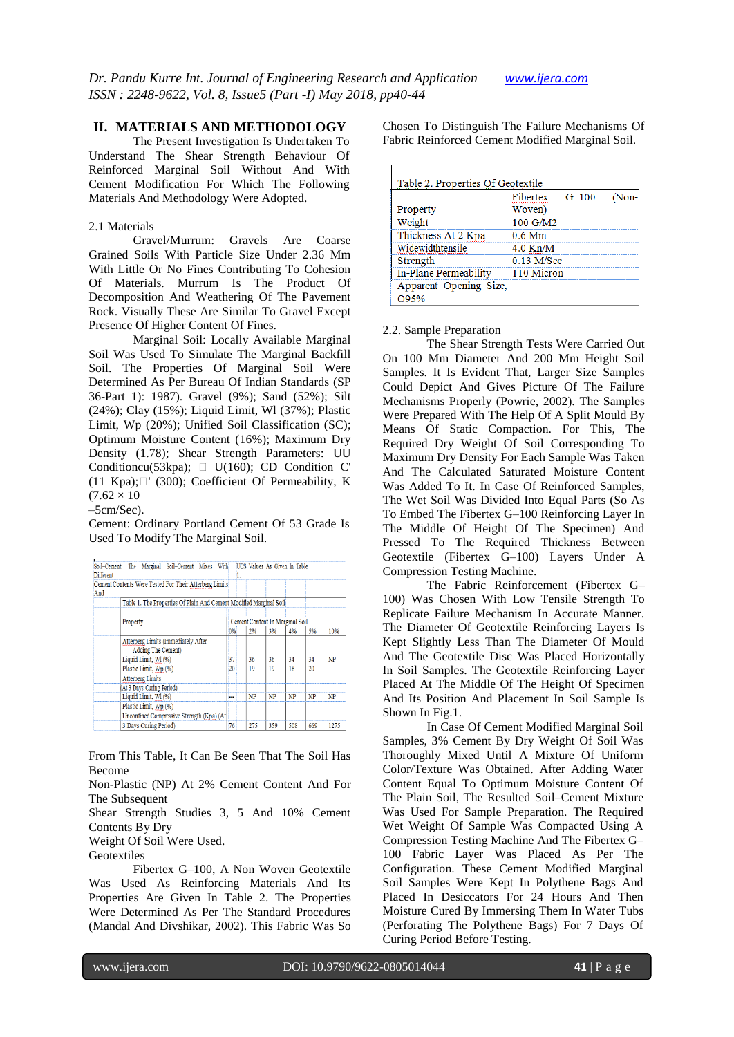## **II. MATERIALS AND METHODOLOGY**

The Present Investigation Is Undertaken To Understand The Shear Strength Behaviour Of Reinforced Marginal Soil Without And With Cement Modification For Which The Following Materials And Methodology Were Adopted.

#### 2.1 Materials

Gravel/Murrum: Gravels Are Coarse Grained Soils With Particle Size Under 2.36 Mm With Little Or No Fines Contributing To Cohesion Of Materials. Murrum Is The Product Of Decomposition And Weathering Of The Pavement Rock. Visually These Are Similar To Gravel Except Presence Of Higher Content Of Fines.

Marginal Soil: Locally Available Marginal Soil Was Used To Simulate The Marginal Backfill Soil. The Properties Of Marginal Soil Were Determined As Per Bureau Of Indian Standards (SP 36-Part 1): 1987). Gravel (9%); Sand (52%); Silt (24%); Clay (15%); Liquid Limit, Wl (37%); Plastic Limit, Wp (20%); Unified Soil Classification (SC); Optimum Moisture Content (16%); Maximum Dry Density (1.78); Shear Strength Parameters: UU Conditioncu(53kpa);  $\Box$  U(160); CD Condition C' (11 Kpa); $\Box'$  (300); Coefficient Of Permeability, K  $(7.62 \times 10^{-7})$ 

–5cm/Sec).

Cement: Ordinary Portland Cement Of 53 Grade Is Used To Modify The Marginal Soil.

| <b>Different</b> | Soil-Cement: The Marginal Soil-Cement Mixes With                   |                                 |           | UCS Values As Given In Table |     |     |      |  |
|------------------|--------------------------------------------------------------------|---------------------------------|-----------|------------------------------|-----|-----|------|--|
| And              | Cement Contents Were Tested For Their Atterberg Limits             |                                 |           |                              |     |     |      |  |
|                  | Table 1. The Properties Of Plain And Cement Modified Marginal Soil |                                 |           |                              |     |     |      |  |
|                  | Property                                                           | Cement Content In Marginal Soil |           |                              |     |     |      |  |
|                  |                                                                    | 0%                              | 2%        | 3%                           | 4%  | 5%  | 10%  |  |
|                  | Atterberg Limits (Immediately After                                |                                 |           |                              |     |     |      |  |
|                  | <b>Adding The Cement)</b>                                          |                                 |           |                              |     |     |      |  |
|                  | Liquid Limit, Wl (%)                                               | 37                              | 36        | 36                           | 34  | 34  | NP   |  |
|                  | Plastic Limit, Wp (%)                                              | 20                              | 19        | 19                           | 18  | 20  |      |  |
|                  | <b>Atterberg Limits</b>                                            |                                 |           |                              |     |     |      |  |
|                  | (At 3 Days Curing Period)                                          |                                 |           |                              |     |     |      |  |
|                  | Liquid Limit, WI (%)                                               |                                 | <b>NP</b> | NP                           | NP  | NP  | NP   |  |
|                  | Plastic Limit, Wp (%)                                              |                                 |           |                              |     |     |      |  |
|                  | Unconfined Compressive Strength (Kpa) (At                          |                                 |           |                              |     |     |      |  |
|                  | 3 Davs Curing Period)                                              | 76                              | 275       | 359                          | 508 | 669 | 1275 |  |

From This Table, It Can Be Seen That The Soil Has Become

Non-Plastic (NP) At 2% Cement Content And For The Subsequent

Shear Strength Studies 3, 5 And 10% Cement Contents By Dry

Weight Of Soil Were Used.

Geotextiles

Fibertex G–100, A Non Woven Geotextile Was Used As Reinforcing Materials And Its Properties Are Given In Table 2. The Properties Were Determined As Per The Standard Procedures (Mandal And Divshikar, 2002). This Fabric Was So Chosen To Distinguish The Failure Mechanisms Of Fabric Reinforced Cement Modified Marginal Soil.

| Property               | Fibertex<br>Woven) | $G-100$ | (Non- |
|------------------------|--------------------|---------|-------|
| Weight                 | 100 G/M2           |         |       |
| Thickness At 2 Kpa     | $0.6$ Mm           |         |       |
| Widewidthtensile       | $4.0$ Kn/M         |         |       |
| Strength               | $0.13$ M/Sec       |         |       |
| In-Plane Permeability  | 110 Micron         |         |       |
| Apparent Opening Size, |                    |         |       |
| O95%                   |                    |         |       |

#### 2.2. Sample Preparation

The Shear Strength Tests Were Carried Out On 100 Mm Diameter And 200 Mm Height Soil Samples. It Is Evident That, Larger Size Samples Could Depict And Gives Picture Of The Failure Mechanisms Properly (Powrie, 2002). The Samples Were Prepared With The Help Of A Split Mould By Means Of Static Compaction. For This, The Required Dry Weight Of Soil Corresponding To Maximum Dry Density For Each Sample Was Taken And The Calculated Saturated Moisture Content Was Added To It. In Case Of Reinforced Samples, The Wet Soil Was Divided Into Equal Parts (So As To Embed The Fibertex G–100 Reinforcing Layer In The Middle Of Height Of The Specimen) And Pressed To The Required Thickness Between Geotextile (Fibertex G–100) Layers Under A Compression Testing Machine.

The Fabric Reinforcement (Fibertex G– 100) Was Chosen With Low Tensile Strength To Replicate Failure Mechanism In Accurate Manner. The Diameter Of Geotextile Reinforcing Layers Is Kept Slightly Less Than The Diameter Of Mould And The Geotextile Disc Was Placed Horizontally In Soil Samples. The Geotextile Reinforcing Layer Placed At The Middle Of The Height Of Specimen And Its Position And Placement In Soil Sample Is Shown In Fig.1.

In Case Of Cement Modified Marginal Soil Samples, 3% Cement By Dry Weight Of Soil Was Thoroughly Mixed Until A Mixture Of Uniform Color/Texture Was Obtained. After Adding Water Content Equal To Optimum Moisture Content Of The Plain Soil, The Resulted Soil–Cement Mixture Was Used For Sample Preparation. The Required Wet Weight Of Sample Was Compacted Using A Compression Testing Machine And The Fibertex G– 100 Fabric Layer Was Placed As Per The Configuration. These Cement Modified Marginal Soil Samples Were Kept In Polythene Bags And Placed In Desiccators For 24 Hours And Then Moisture Cured By Immersing Them In Water Tubs (Perforating The Polythene Bags) For 7 Days Of Curing Period Before Testing.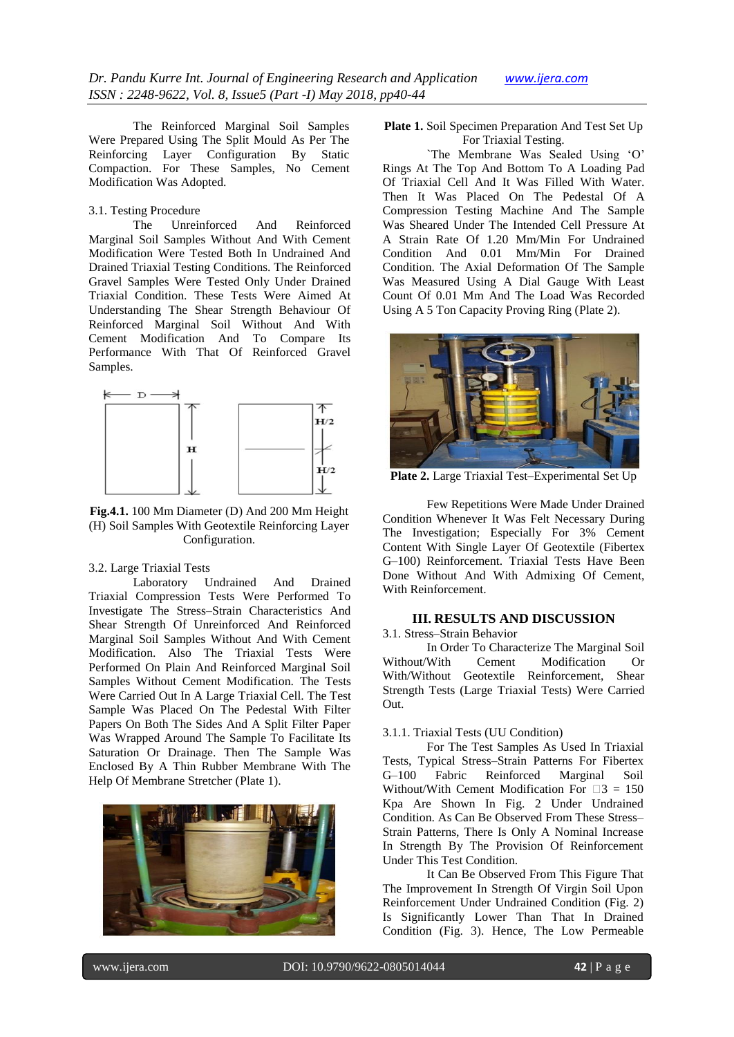The Reinforced Marginal Soil Samples Were Prepared Using The Split Mould As Per The Reinforcing Layer Configuration By Static Compaction. For These Samples, No Cement Modification Was Adopted.

## 3.1. Testing Procedure

The Unreinforced And Reinforced Marginal Soil Samples Without And With Cement Modification Were Tested Both In Undrained And Drained Triaxial Testing Conditions. The Reinforced Gravel Samples Were Tested Only Under Drained Triaxial Condition. These Tests Were Aimed At Understanding The Shear Strength Behaviour Of Reinforced Marginal Soil Without And With Cement Modification And To Compare Its Performance With That Of Reinforced Gravel Samples.



**Fig.4.1.** 100 Mm Diameter (D) And 200 Mm Height (H) Soil Samples With Geotextile Reinforcing Layer Configuration.

#### 3.2. Large Triaxial Tests

Laboratory Undrained And Drained Triaxial Compression Tests Were Performed To Investigate The Stress–Strain Characteristics And Shear Strength Of Unreinforced And Reinforced Marginal Soil Samples Without And With Cement Modification. Also The Triaxial Tests Were Performed On Plain And Reinforced Marginal Soil Samples Without Cement Modification. The Tests Were Carried Out In A Large Triaxial Cell. The Test Sample Was Placed On The Pedestal With Filter Papers On Both The Sides And A Split Filter Paper Was Wrapped Around The Sample To Facilitate Its Saturation Or Drainage. Then The Sample Was Enclosed By A Thin Rubber Membrane With The Help Of Membrane Stretcher (Plate 1).



**Plate 1.** Soil Specimen Preparation And Test Set Up For Triaxial Testing.

`The Membrane Was Sealed Using "O" Rings At The Top And Bottom To A Loading Pad Of Triaxial Cell And It Was Filled With Water. Then It Was Placed On The Pedestal Of A Compression Testing Machine And The Sample Was Sheared Under The Intended Cell Pressure At A Strain Rate Of 1.20 Mm/Min For Undrained Condition And 0.01 Mm/Min For Drained Condition. The Axial Deformation Of The Sample Was Measured Using A Dial Gauge With Least Count Of 0.01 Mm And The Load Was Recorded Using A 5 Ton Capacity Proving Ring (Plate 2).



**Plate 2.** Large Triaxial Test–Experimental Set Up

Few Repetitions Were Made Under Drained Condition Whenever It Was Felt Necessary During The Investigation; Especially For 3% Cement Content With Single Layer Of Geotextile (Fibertex G–100) Reinforcement. Triaxial Tests Have Been Done Without And With Admixing Of Cement, With Reinforcement.

## **III. RESULTS AND DISCUSSION**

3.1. Stress–Strain Behavior

In Order To Characterize The Marginal Soil Without/With Cement Modification Or With/Without Geotextile Reinforcement, Shear Strength Tests (Large Triaxial Tests) Were Carried Out.

## 3.1.1. Triaxial Tests (UU Condition)

For The Test Samples As Used In Triaxial Tests, Typical Stress–Strain Patterns For Fibertex G–100 Fabric Reinforced Marginal Soil Without/With Cement Modification For  $\square$ 3 = 150 Kpa Are Shown In Fig. 2 Under Undrained Condition. As Can Be Observed From These Stress– Strain Patterns, There Is Only A Nominal Increase In Strength By The Provision Of Reinforcement Under This Test Condition.

It Can Be Observed From This Figure That The Improvement In Strength Of Virgin Soil Upon Reinforcement Under Undrained Condition (Fig. 2) Is Significantly Lower Than That In Drained Condition (Fig. 3). Hence, The Low Permeable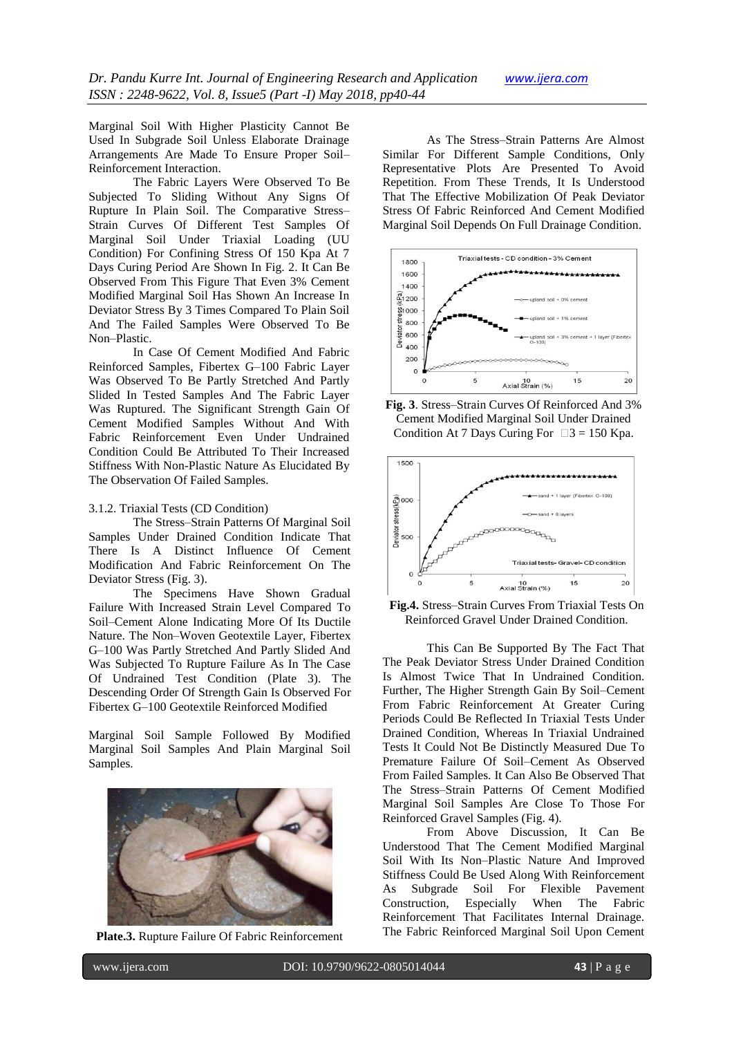Marginal Soil With Higher Plasticity Cannot Be Used In Subgrade Soil Unless Elaborate Drainage Arrangements Are Made To Ensure Proper Soil– Reinforcement Interaction.

The Fabric Layers Were Observed To Be Subjected To Sliding Without Any Signs Of Rupture In Plain Soil. The Comparative Stress– Strain Curves Of Different Test Samples Of Marginal Soil Under Triaxial Loading (UU Condition) For Confining Stress Of 150 Kpa At 7 Days Curing Period Are Shown In Fig. 2. It Can Be Observed From This Figure That Even 3% Cement Modified Marginal Soil Has Shown An Increase In Deviator Stress By 3 Times Compared To Plain Soil And The Failed Samples Were Observed To Be Non–Plastic.

In Case Of Cement Modified And Fabric Reinforced Samples, Fibertex G–100 Fabric Layer Was Observed To Be Partly Stretched And Partly Slided In Tested Samples And The Fabric Layer Was Ruptured. The Significant Strength Gain Of Cement Modified Samples Without And With Fabric Reinforcement Even Under Undrained Condition Could Be Attributed To Their Increased Stiffness With Non-Plastic Nature As Elucidated By The Observation Of Failed Samples.

#### 3.1.2. Triaxial Tests (CD Condition)

The Stress–Strain Patterns Of Marginal Soil Samples Under Drained Condition Indicate That There Is A Distinct Influence Of Cement Modification And Fabric Reinforcement On The Deviator Stress (Fig. 3).

The Specimens Have Shown Gradual Failure With Increased Strain Level Compared To Soil–Cement Alone Indicating More Of Its Ductile Nature. The Non–Woven Geotextile Layer, Fibertex G–100 Was Partly Stretched And Partly Slided And Was Subjected To Rupture Failure As In The Case Of Undrained Test Condition (Plate 3). The Descending Order Of Strength Gain Is Observed For Fibertex G–100 Geotextile Reinforced Modified

Marginal Soil Sample Followed By Modified Marginal Soil Samples And Plain Marginal Soil Samples.





As The Stress–Strain Patterns Are Almost Similar For Different Sample Conditions, Only Representative Plots Are Presented To Avoid Repetition. From These Trends, It Is Understood That The Effective Mobilization Of Peak Deviator Stress Of Fabric Reinforced And Cement Modified Marginal Soil Depends On Full Drainage Condition.



**Fig. 3**. Stress–Strain Curves Of Reinforced And 3% Cement Modified Marginal Soil Under Drained Condition At 7 Days Curing For  $\Box$  3 = 150 Kpa.



**Fig.4.** Stress–Strain Curves From Triaxial Tests On Reinforced Gravel Under Drained Condition.

This Can Be Supported By The Fact That The Peak Deviator Stress Under Drained Condition Is Almost Twice That In Undrained Condition. Further, The Higher Strength Gain By Soil–Cement From Fabric Reinforcement At Greater Curing Periods Could Be Reflected In Triaxial Tests Under Drained Condition, Whereas In Triaxial Undrained Tests It Could Not Be Distinctly Measured Due To Premature Failure Of Soil–Cement As Observed From Failed Samples. It Can Also Be Observed That The Stress–Strain Patterns Of Cement Modified Marginal Soil Samples Are Close To Those For Reinforced Gravel Samples (Fig. 4).

From Above Discussion, It Can Be Understood That The Cement Modified Marginal Soil With Its Non–Plastic Nature And Improved Stiffness Could Be Used Along With Reinforcement As Subgrade Soil For Flexible Pavement Construction, Especially When The Fabric Reinforcement That Facilitates Internal Drainage. The Fabric Reinforced Marginal Soil Upon Cement